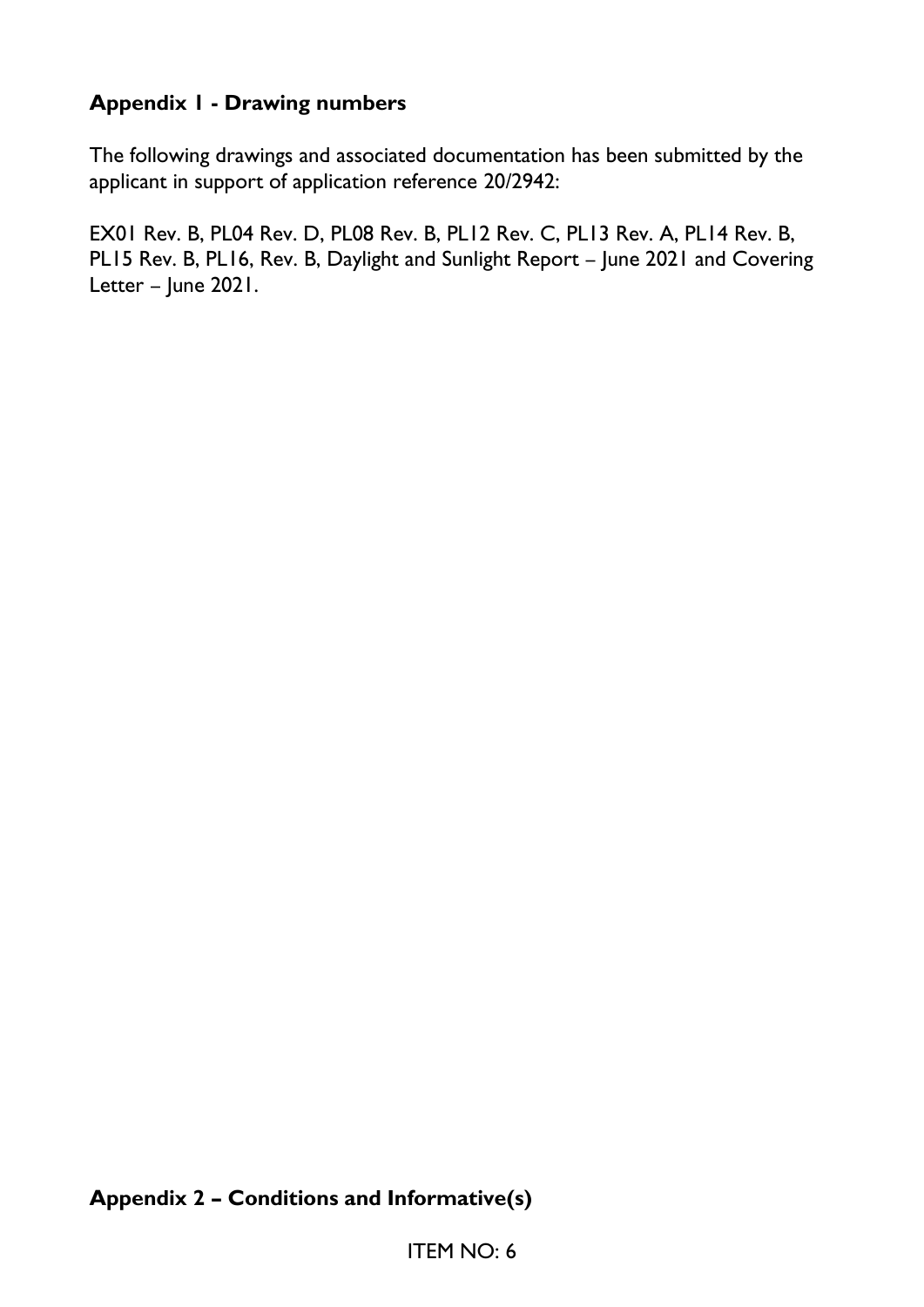# **Appendix 1 - Drawing numbers**

The following drawings and associated documentation has been submitted by the applicant in support of application reference 20/2942:

EX01 Rev. B, PL04 Rev. D, PL08 Rev. B, PL12 Rev. C, PL13 Rev. A, PL14 Rev. B, PL15 Rev. B, PL16, Rev. B, Daylight and Sunlight Report – June 2021 and Covering Letter – June 2021.

#### **Appendix 2 – Conditions and Informative(s)**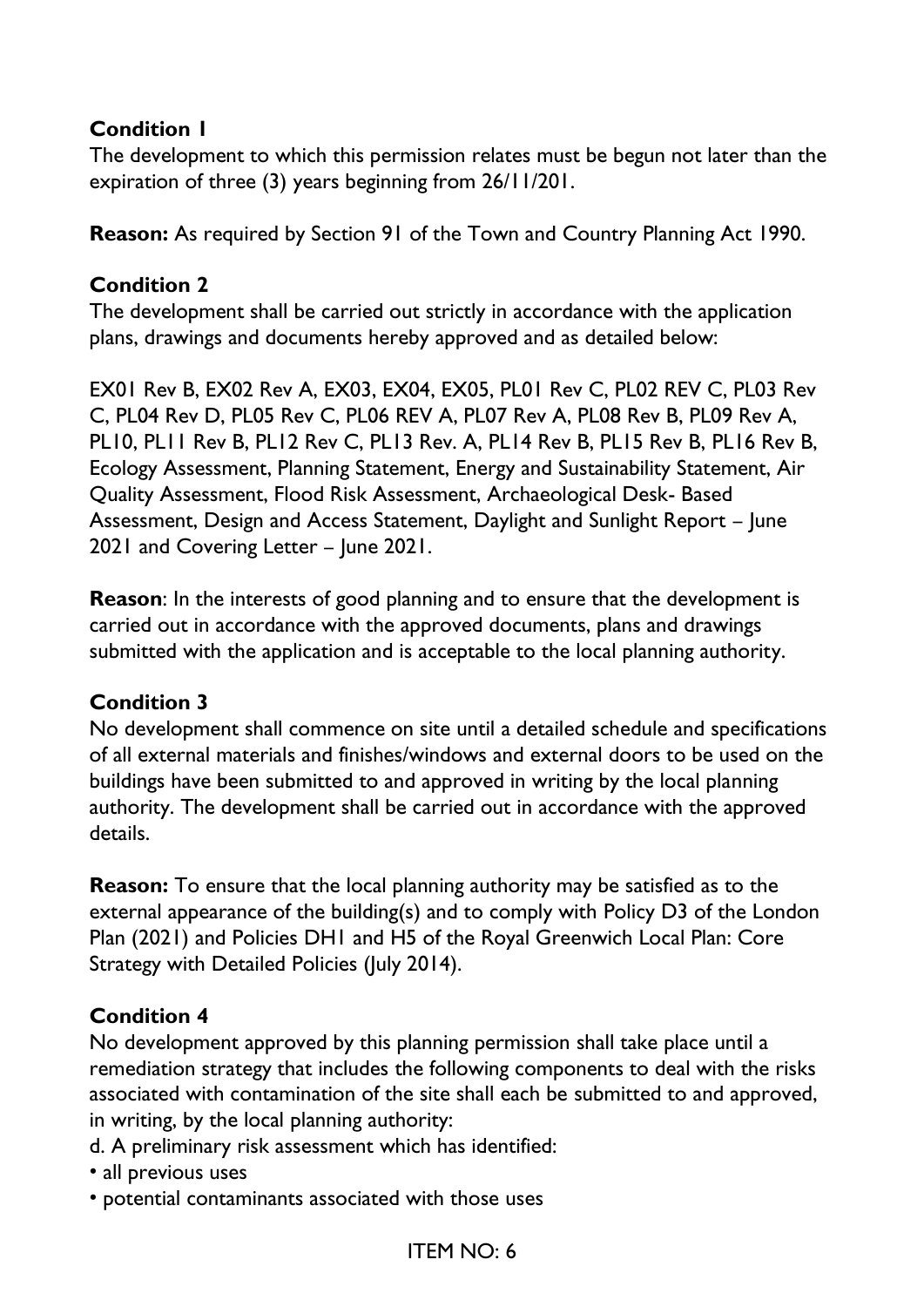#### **Condition 1**

The development to which this permission relates must be begun not later than the expiration of three (3) years beginning from 26/11/201.

**Reason:** As required by Section 91 of the Town and Country Planning Act 1990.

#### **Condition 2**

The development shall be carried out strictly in accordance with the application plans, drawings and documents hereby approved and as detailed below:

EX01 Rev B, EX02 Rev A, EX03, EX04, EX05, PL01 Rev C, PL02 REV C, PL03 Rev C, PL04 Rev D, PL05 Rev C, PL06 REV A, PL07 Rev A, PL08 Rev B, PL09 Rev A, PL10, PL11 Rev B, PL12 Rev C, PL13 Rev. A, PL14 Rev B, PL15 Rev B, PL16 Rev B, Ecology Assessment, Planning Statement, Energy and Sustainability Statement, Air Quality Assessment, Flood Risk Assessment, Archaeological Desk- Based Assessment, Design and Access Statement, Daylight and Sunlight Report – June 2021 and Covering Letter – June 2021.

**Reason**: In the interests of good planning and to ensure that the development is carried out in accordance with the approved documents, plans and drawings submitted with the application and is acceptable to the local planning authority.

#### **Condition 3**

No development shall commence on site until a detailed schedule and specifications of all external materials and finishes/windows and external doors to be used on the buildings have been submitted to and approved in writing by the local planning authority. The development shall be carried out in accordance with the approved details.

**Reason:** To ensure that the local planning authority may be satisfied as to the external appearance of the building(s) and to comply with Policy D3 of the London Plan (2021) and Policies DH1 and H5 of the Royal Greenwich Local Plan: Core Strategy with Detailed Policies (July 2014).

#### **Condition 4**

No development approved by this planning permission shall take place until a remediation strategy that includes the following components to deal with the risks associated with contamination of the site shall each be submitted to and approved, in writing, by the local planning authority:

- d. A preliminary risk assessment which has identified:
- all previous uses
- potential contaminants associated with those uses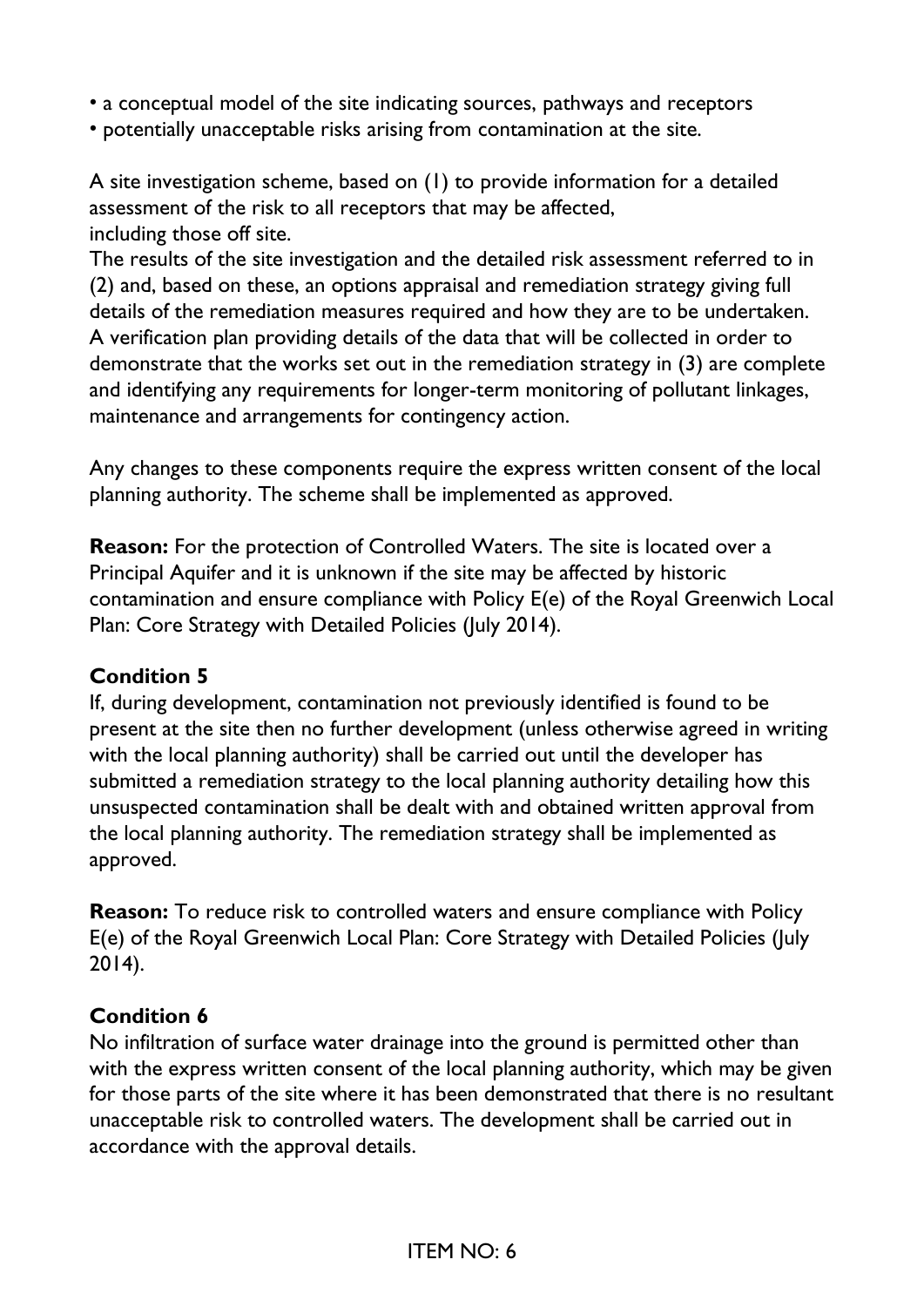- a conceptual model of the site indicating sources, pathways and receptors
- potentially unacceptable risks arising from contamination at the site.

A site investigation scheme, based on (1) to provide information for a detailed assessment of the risk to all receptors that may be affected, including those off site.

The results of the site investigation and the detailed risk assessment referred to in (2) and, based on these, an options appraisal and remediation strategy giving full details of the remediation measures required and how they are to be undertaken. A verification plan providing details of the data that will be collected in order to demonstrate that the works set out in the remediation strategy in (3) are complete and identifying any requirements for longer-term monitoring of pollutant linkages, maintenance and arrangements for contingency action.

Any changes to these components require the express written consent of the local planning authority. The scheme shall be implemented as approved.

**Reason:** For the protection of Controlled Waters. The site is located over a Principal Aquifer and it is unknown if the site may be affected by historic contamination and ensure compliance with Policy E(e) of the Royal Greenwich Local Plan: Core Strategy with Detailed Policies (July 2014).

#### **Condition 5**

If, during development, contamination not previously identified is found to be present at the site then no further development (unless otherwise agreed in writing with the local planning authority) shall be carried out until the developer has submitted a remediation strategy to the local planning authority detailing how this unsuspected contamination shall be dealt with and obtained written approval from the local planning authority. The remediation strategy shall be implemented as approved.

**Reason:** To reduce risk to controlled waters and ensure compliance with Policy E(e) of the Royal Greenwich Local Plan: Core Strategy with Detailed Policies (July 2014).

#### **Condition 6**

No infiltration of surface water drainage into the ground is permitted other than with the express written consent of the local planning authority, which may be given for those parts of the site where it has been demonstrated that there is no resultant unacceptable risk to controlled waters. The development shall be carried out in accordance with the approval details.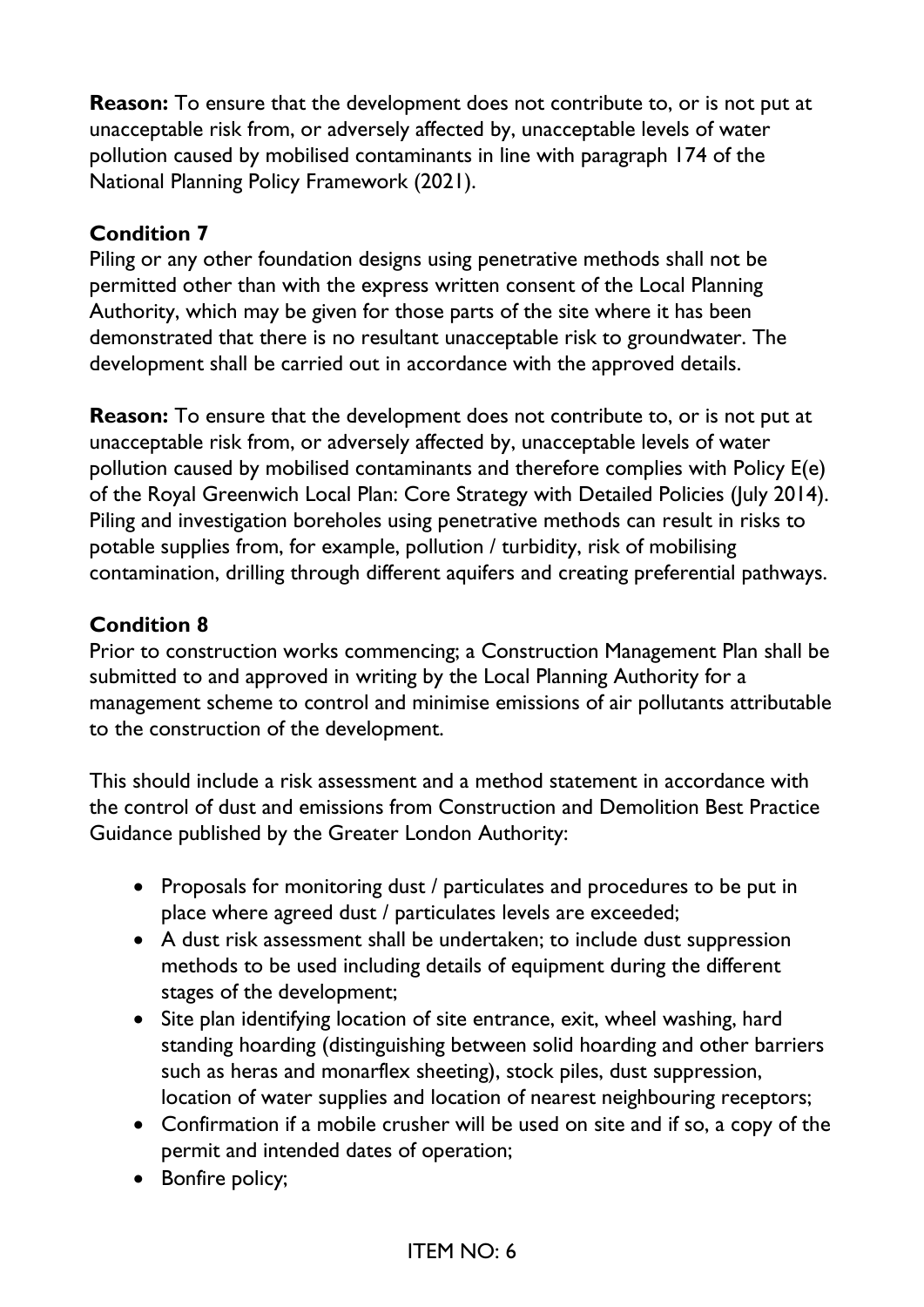**Reason:** To ensure that the development does not contribute to, or is not put at unacceptable risk from, or adversely affected by, unacceptable levels of water pollution caused by mobilised contaminants in line with paragraph 174 of the National Planning Policy Framework (2021).

#### **Condition 7**

Piling or any other foundation designs using penetrative methods shall not be permitted other than with the express written consent of the Local Planning Authority, which may be given for those parts of the site where it has been demonstrated that there is no resultant unacceptable risk to groundwater. The development shall be carried out in accordance with the approved details.

**Reason:** To ensure that the development does not contribute to, or is not put at unacceptable risk from, or adversely affected by, unacceptable levels of water pollution caused by mobilised contaminants and therefore complies with Policy E(e) of the Royal Greenwich Local Plan: Core Strategy with Detailed Policies (July 2014). Piling and investigation boreholes using penetrative methods can result in risks to potable supplies from, for example, pollution / turbidity, risk of mobilising contamination, drilling through different aquifers and creating preferential pathways.

## **Condition 8**

Prior to construction works commencing; a Construction Management Plan shall be submitted to and approved in writing by the Local Planning Authority for a management scheme to control and minimise emissions of air pollutants attributable to the construction of the development.

This should include a risk assessment and a method statement in accordance with the control of dust and emissions from Construction and Demolition Best Practice Guidance published by the Greater London Authority:

- Proposals for monitoring dust / particulates and procedures to be put in place where agreed dust / particulates levels are exceeded;
- A dust risk assessment shall be undertaken; to include dust suppression methods to be used including details of equipment during the different stages of the development;
- Site plan identifying location of site entrance, exit, wheel washing, hard standing hoarding (distinguishing between solid hoarding and other barriers such as heras and monarflex sheeting), stock piles, dust suppression, location of water supplies and location of nearest neighbouring receptors;
- Confirmation if a mobile crusher will be used on site and if so, a copy of the permit and intended dates of operation;
- Bonfire policy;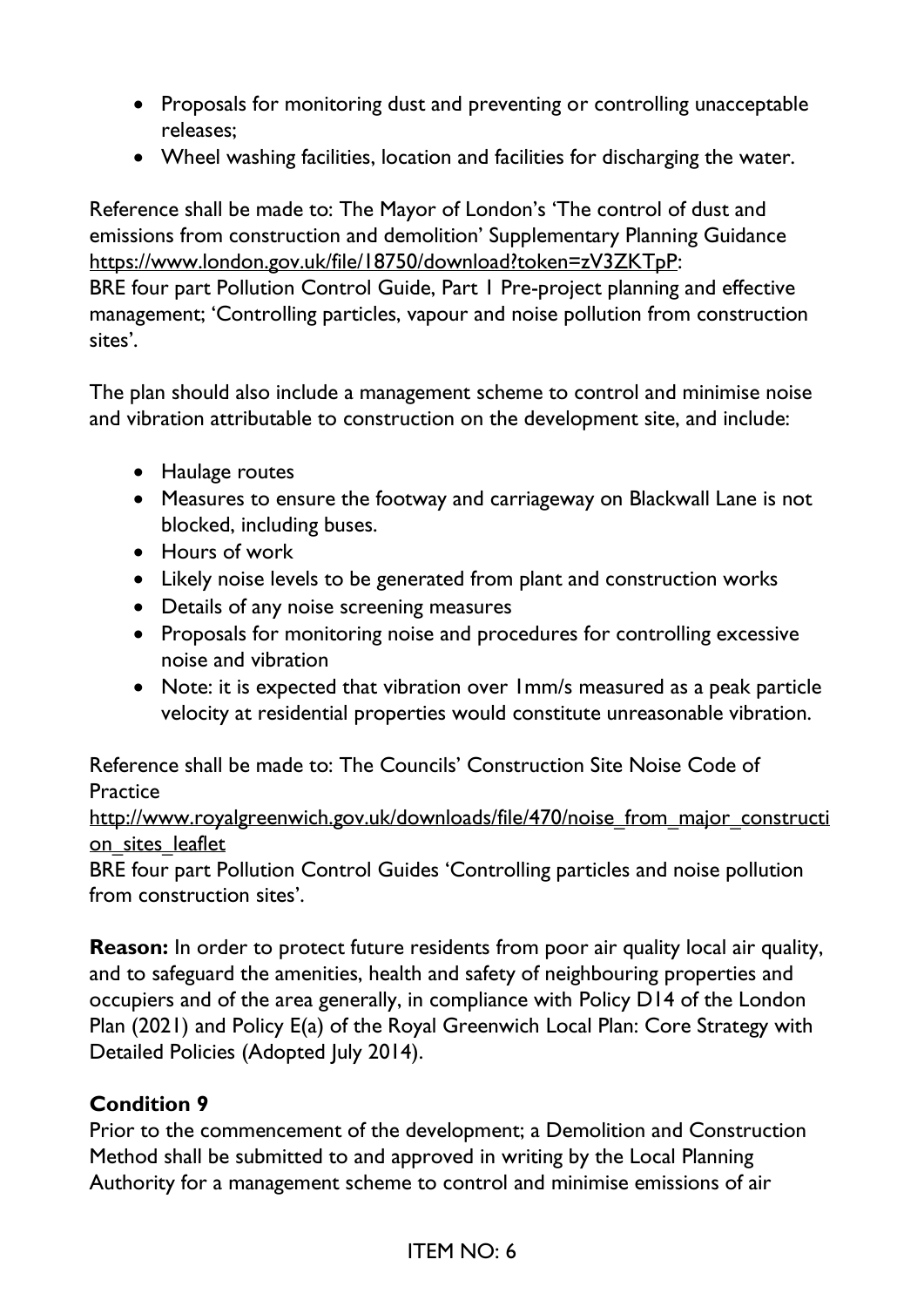- Proposals for monitoring dust and preventing or controlling unacceptable releases;
- Wheel washing facilities, location and facilities for discharging the water.

Reference shall be made to: The Mayor of London's 'The control of dust and emissions from construction and demolition' Supplementary Planning Guidance https://www.london.gov.uk/file/18750/download?token=zV3ZKTpP: BRE four part Pollution Control Guide, Part 1 Pre-project planning and effective management; 'Controlling particles, vapour and noise pollution from construction sites'.

The plan should also include a management scheme to control and minimise noise and vibration attributable to construction on the development site, and include:

- Haulage routes
- Measures to ensure the footway and carriageway on Blackwall Lane is not blocked, including buses.
- Hours of work
- Likely noise levels to be generated from plant and construction works
- Details of any noise screening measures
- Proposals for monitoring noise and procedures for controlling excessive noise and vibration
- Note: it is expected that vibration over 1mm/s measured as a peak particle velocity at residential properties would constitute unreasonable vibration.

Reference shall be made to: The Councils' Construction Site Noise Code of **Practice** 

http://www.royalgreenwich.gov.uk/downloads/file/470/noise\_from\_major\_constructi on sites leaflet

BRE four part Pollution Control Guides 'Controlling particles and noise pollution from construction sites'.

**Reason:** In order to protect future residents from poor air quality local air quality, and to safeguard the amenities, health and safety of neighbouring properties and occupiers and of the area generally, in compliance with Policy D14 of the London Plan (2021) and Policy E(a) of the Royal Greenwich Local Plan: Core Strategy with Detailed Policies (Adopted July 2014).

## **Condition 9**

Prior to the commencement of the development; a Demolition and Construction Method shall be submitted to and approved in writing by the Local Planning Authority for a management scheme to control and minimise emissions of air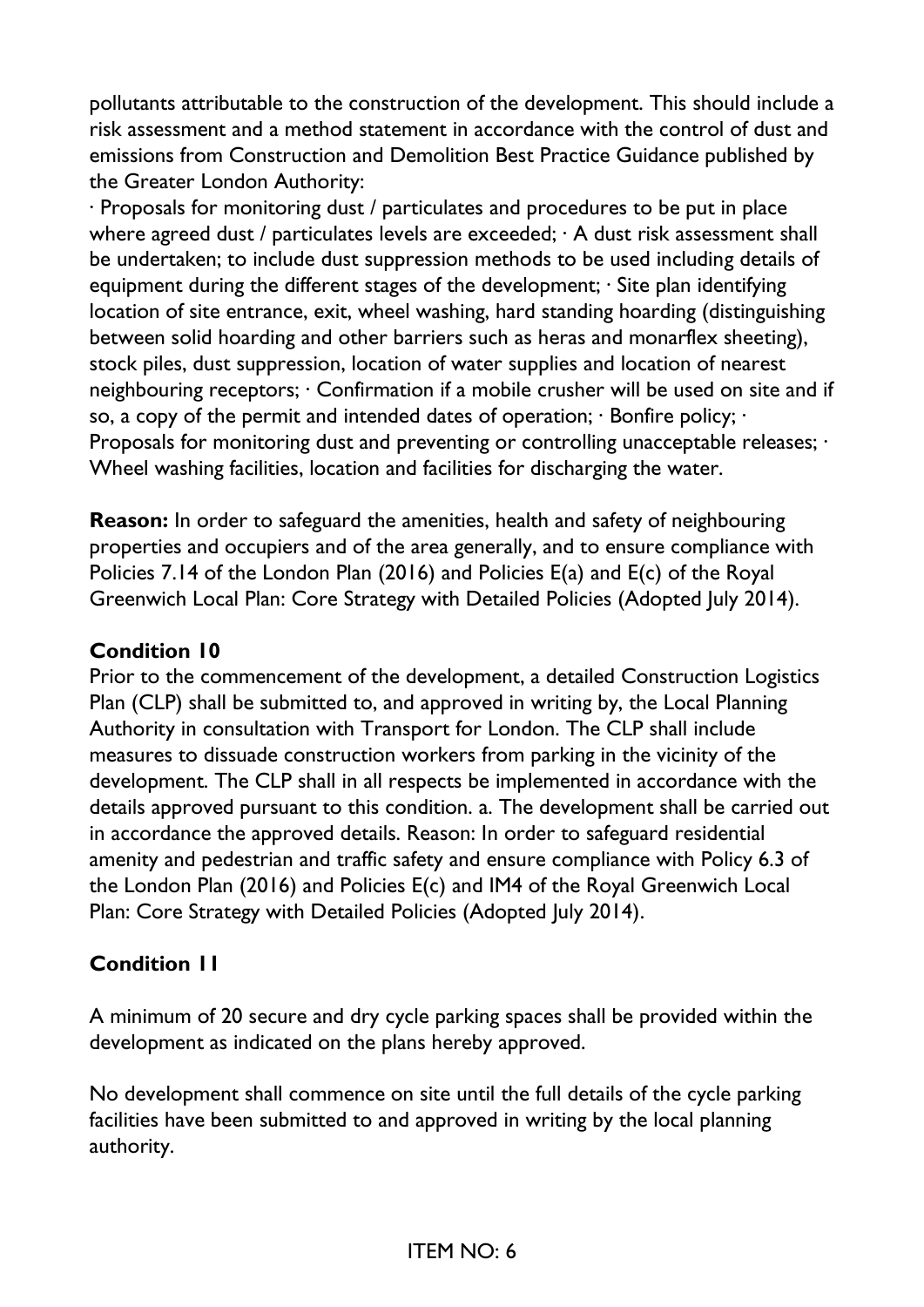pollutants attributable to the construction of the development. This should include a risk assessment and a method statement in accordance with the control of dust and emissions from Construction and Demolition Best Practice Guidance published by the Greater London Authority:

· Proposals for monitoring dust / particulates and procedures to be put in place where agreed dust / particulates levels are exceeded; · A dust risk assessment shall be undertaken; to include dust suppression methods to be used including details of equipment during the different stages of the development;  $\cdot$  Site plan identifying location of site entrance, exit, wheel washing, hard standing hoarding (distinguishing between solid hoarding and other barriers such as heras and monarflex sheeting), stock piles, dust suppression, location of water supplies and location of nearest neighbouring receptors; · Confirmation if a mobile crusher will be used on site and if so, a copy of the permit and intended dates of operation; · Bonfire policy; · Proposals for monitoring dust and preventing or controlling unacceptable releases; · Wheel washing facilities, location and facilities for discharging the water.

**Reason:** In order to safeguard the amenities, health and safety of neighbouring properties and occupiers and of the area generally, and to ensure compliance with Policies 7.14 of the London Plan (2016) and Policies E(a) and E(c) of the Royal Greenwich Local Plan: Core Strategy with Detailed Policies (Adopted July 2014).

#### **Condition 10**

Prior to the commencement of the development, a detailed Construction Logistics Plan (CLP) shall be submitted to, and approved in writing by, the Local Planning Authority in consultation with Transport for London. The CLP shall include measures to dissuade construction workers from parking in the vicinity of the development. The CLP shall in all respects be implemented in accordance with the details approved pursuant to this condition. a. The development shall be carried out in accordance the approved details. Reason: In order to safeguard residential amenity and pedestrian and traffic safety and ensure compliance with Policy 6.3 of the London Plan (2016) and Policies E(c) and IM4 of the Royal Greenwich Local Plan: Core Strategy with Detailed Policies (Adopted July 2014).

#### **Condition 11**

A minimum of 20 secure and dry cycle parking spaces shall be provided within the development as indicated on the plans hereby approved.

No development shall commence on site until the full details of the cycle parking facilities have been submitted to and approved in writing by the local planning authority.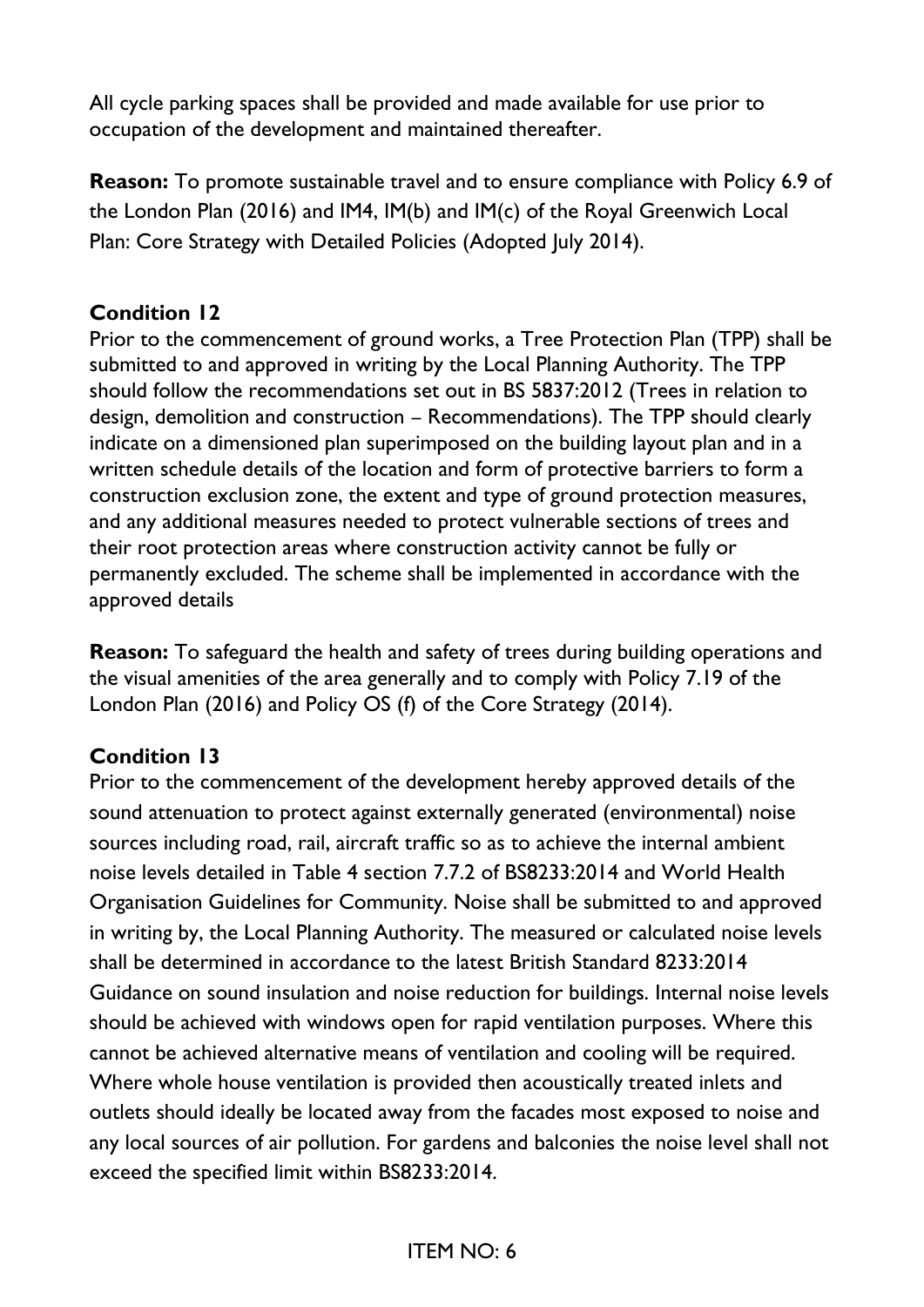All cycle parking spaces shall be provided and made available for use prior to occupation of the development and maintained thereafter.

**Reason:** To promote sustainable travel and to ensure compliance with Policy 6.9 of the London Plan (2016) and IM4, IM(b) and IM(c) of the Royal Greenwich Local Plan: Core Strategy with Detailed Policies (Adopted July 2014).

#### **Condition 12**

Prior to the commencement of ground works, a Tree Protection Plan (TPP) shall be submitted to and approved in writing by the Local Planning Authority. The TPP should follow the recommendations set out in BS 5837:2012 (Trees in relation to design, demolition and construction – Recommendations). The TPP should clearly indicate on a dimensioned plan superimposed on the building layout plan and in a written schedule details of the location and form of protective barriers to form a construction exclusion zone, the extent and type of ground protection measures, and any additional measures needed to protect vulnerable sections of trees and their root protection areas where construction activity cannot be fully or permanently excluded. The scheme shall be implemented in accordance with the approved details

**Reason:** To safeguard the health and safety of trees during building operations and the visual amenities of the area generally and to comply with Policy 7.19 of the London Plan (2016) and Policy OS (f) of the Core Strategy (2014).

## **Condition 13**

Prior to the commencement of the development hereby approved details of the sound attenuation to protect against externally generated (environmental) noise sources including road, rail, aircraft traffic so as to achieve the internal ambient noise levels detailed in Table 4 section 7.7.2 of BS8233:2014 and World Health Organisation Guidelines for Community. Noise shall be submitted to and approved in writing by, the Local Planning Authority. The measured or calculated noise levels shall be determined in accordance to the latest British Standard 8233:2014 Guidance on sound insulation and noise reduction for buildings. Internal noise levels should be achieved with windows open for rapid ventilation purposes. Where this cannot be achieved alternative means of ventilation and cooling will be required. Where whole house ventilation is provided then acoustically treated inlets and outlets should ideally be located away from the facades most exposed to noise and any local sources of air pollution. For gardens and balconies the noise level shall not exceed the specified limit within BS8233:2014.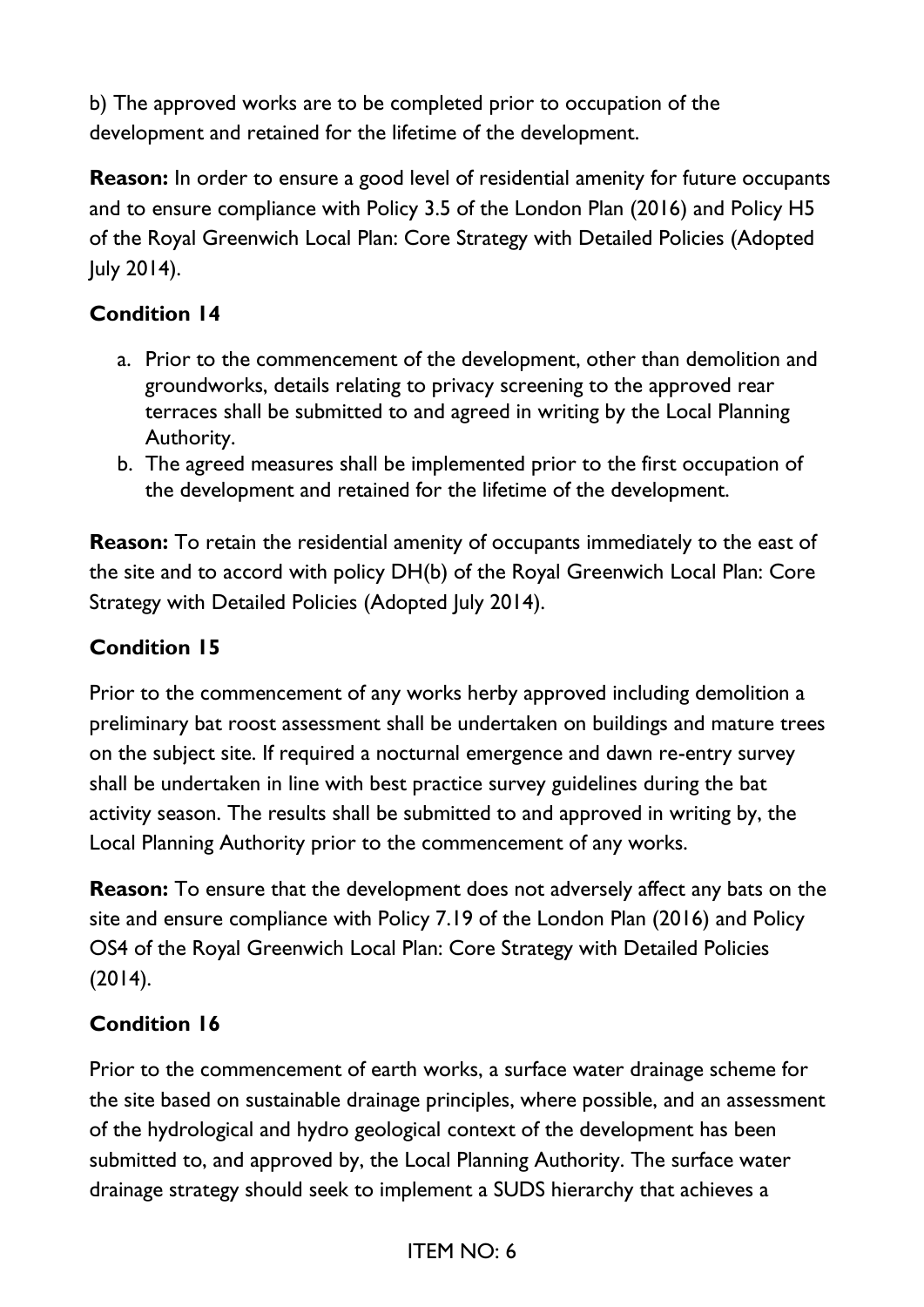b) The approved works are to be completed prior to occupation of the development and retained for the lifetime of the development.

**Reason:** In order to ensure a good level of residential amenity for future occupants and to ensure compliance with Policy 3.5 of the London Plan (2016) and Policy H5 of the Royal Greenwich Local Plan: Core Strategy with Detailed Policies (Adopted July 2014).

# **Condition 14**

- a. Prior to the commencement of the development, other than demolition and groundworks, details relating to privacy screening to the approved rear terraces shall be submitted to and agreed in writing by the Local Planning Authority.
- b. The agreed measures shall be implemented prior to the first occupation of the development and retained for the lifetime of the development.

**Reason:** To retain the residential amenity of occupants immediately to the east of the site and to accord with policy DH(b) of the Royal Greenwich Local Plan: Core Strategy with Detailed Policies (Adopted July 2014).

## **Condition 15**

Prior to the commencement of any works herby approved including demolition a preliminary bat roost assessment shall be undertaken on buildings and mature trees on the subject site. If required a nocturnal emergence and dawn re-entry survey shall be undertaken in line with best practice survey guidelines during the bat activity season. The results shall be submitted to and approved in writing by, the Local Planning Authority prior to the commencement of any works.

**Reason:** To ensure that the development does not adversely affect any bats on the site and ensure compliance with Policy 7.19 of the London Plan (2016) and Policy OS4 of the Royal Greenwich Local Plan: Core Strategy with Detailed Policies (2014).

## **Condition 16**

Prior to the commencement of earth works, a surface water drainage scheme for the site based on sustainable drainage principles, where possible, and an assessment of the hydrological and hydro geological context of the development has been submitted to, and approved by, the Local Planning Authority. The surface water drainage strategy should seek to implement a SUDS hierarchy that achieves a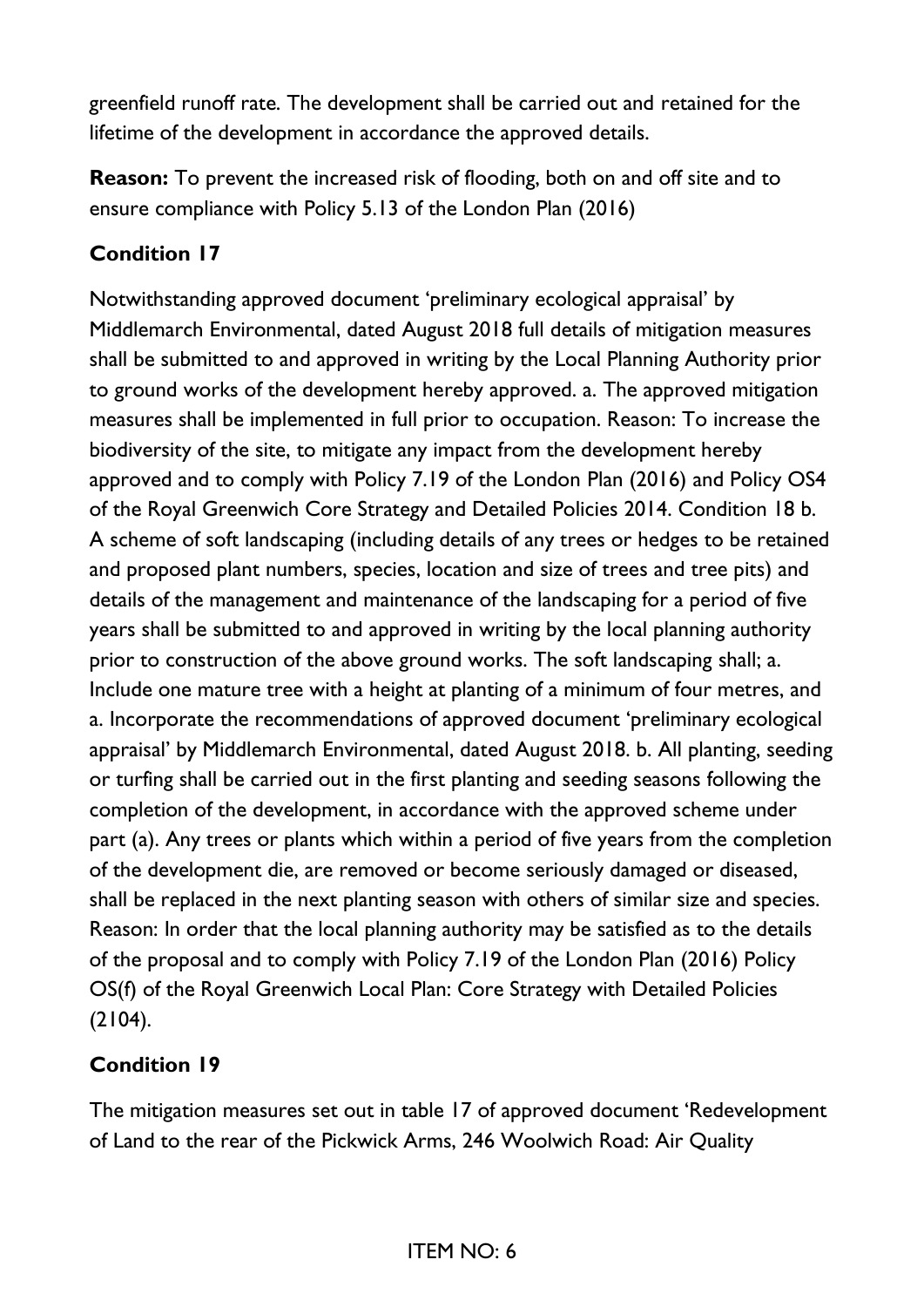greenfield runoff rate. The development shall be carried out and retained for the lifetime of the development in accordance the approved details.

**Reason:** To prevent the increased risk of flooding, both on and off site and to ensure compliance with Policy 5.13 of the London Plan (2016)

#### **Condition 17**

Notwithstanding approved document 'preliminary ecological appraisal' by Middlemarch Environmental, dated August 2018 full details of mitigation measures shall be submitted to and approved in writing by the Local Planning Authority prior to ground works of the development hereby approved. a. The approved mitigation measures shall be implemented in full prior to occupation. Reason: To increase the biodiversity of the site, to mitigate any impact from the development hereby approved and to comply with Policy 7.19 of the London Plan (2016) and Policy OS4 of the Royal Greenwich Core Strategy and Detailed Policies 2014. Condition 18 b. A scheme of soft landscaping (including details of any trees or hedges to be retained and proposed plant numbers, species, location and size of trees and tree pits) and details of the management and maintenance of the landscaping for a period of five years shall be submitted to and approved in writing by the local planning authority prior to construction of the above ground works. The soft landscaping shall; a. Include one mature tree with a height at planting of a minimum of four metres, and a. Incorporate the recommendations of approved document 'preliminary ecological appraisal' by Middlemarch Environmental, dated August 2018. b. All planting, seeding or turfing shall be carried out in the first planting and seeding seasons following the completion of the development, in accordance with the approved scheme under part (a). Any trees or plants which within a period of five years from the completion of the development die, are removed or become seriously damaged or diseased, shall be replaced in the next planting season with others of similar size and species. Reason: In order that the local planning authority may be satisfied as to the details of the proposal and to comply with Policy 7.19 of the London Plan (2016) Policy OS(f) of the Royal Greenwich Local Plan: Core Strategy with Detailed Policies  $(2104).$ 

#### **Condition 19**

The mitigation measures set out in table 17 of approved document 'Redevelopment of Land to the rear of the Pickwick Arms, 246 Woolwich Road: Air Quality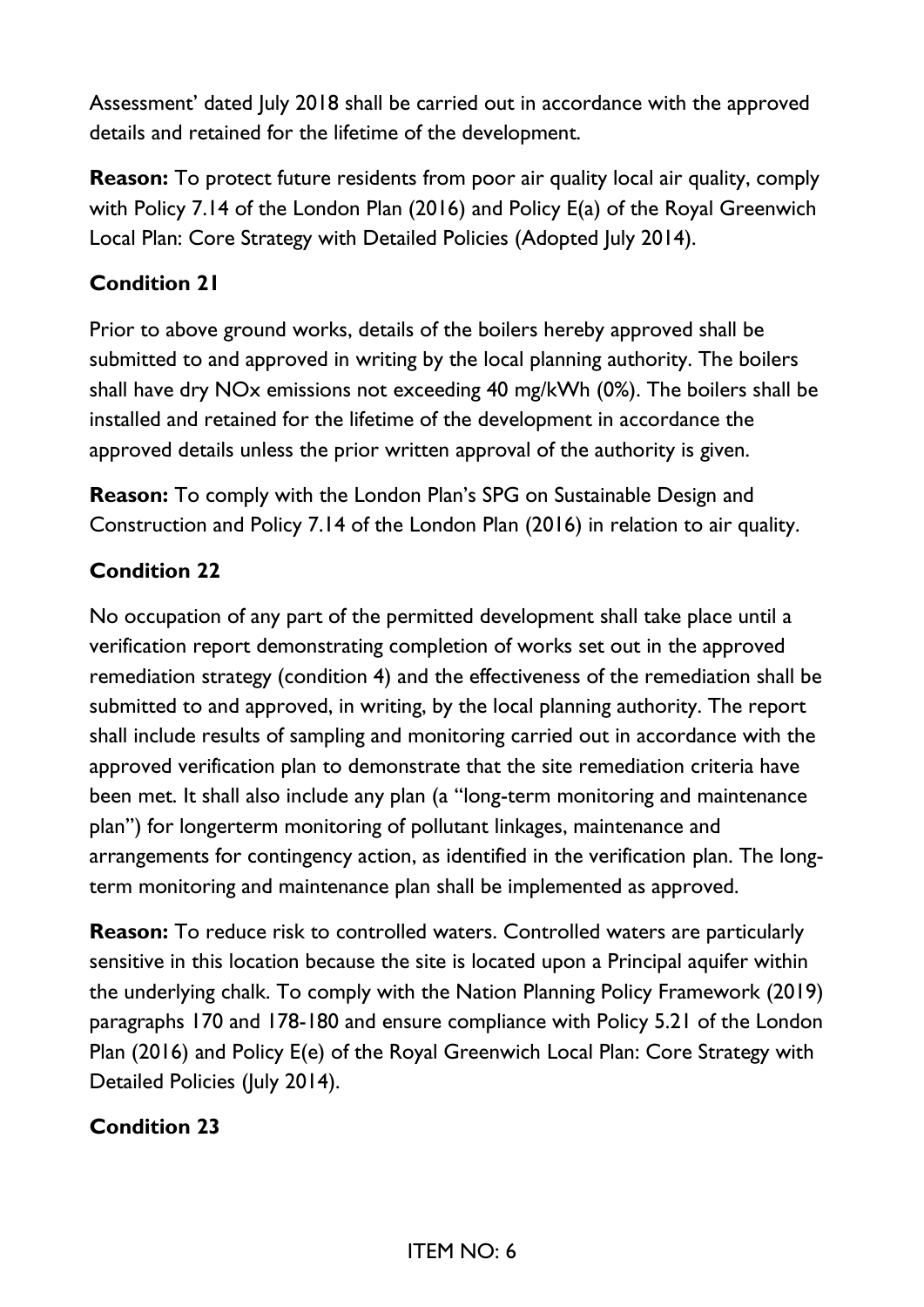Assessment' dated July 2018 shall be carried out in accordance with the approved details and retained for the lifetime of the development.

**Reason:** To protect future residents from poor air quality local air quality, comply with Policy 7.14 of the London Plan (2016) and Policy E(a) of the Royal Greenwich Local Plan: Core Strategy with Detailed Policies (Adopted July 2014).

## **Condition 21**

Prior to above ground works, details of the boilers hereby approved shall be submitted to and approved in writing by the local planning authority. The boilers shall have dry NOx emissions not exceeding 40 mg/kWh (0%). The boilers shall be installed and retained for the lifetime of the development in accordance the approved details unless the prior written approval of the authority is given.

**Reason:** To comply with the London Plan's SPG on Sustainable Design and Construction and Policy 7.14 of the London Plan (2016) in relation to air quality.

#### **Condition 22**

No occupation of any part of the permitted development shall take place until a verification report demonstrating completion of works set out in the approved remediation strategy (condition 4) and the effectiveness of the remediation shall be submitted to and approved, in writing, by the local planning authority. The report shall include results of sampling and monitoring carried out in accordance with the approved verification plan to demonstrate that the site remediation criteria have been met. It shall also include any plan (a "long-term monitoring and maintenance plan") for longerterm monitoring of pollutant linkages, maintenance and arrangements for contingency action, as identified in the verification plan. The longterm monitoring and maintenance plan shall be implemented as approved.

**Reason:** To reduce risk to controlled waters. Controlled waters are particularly sensitive in this location because the site is located upon a Principal aquifer within the underlying chalk. To comply with the Nation Planning Policy Framework (2019) paragraphs 170 and 178-180 and ensure compliance with Policy 5.21 of the London Plan (2016) and Policy E(e) of the Royal Greenwich Local Plan: Core Strategy with Detailed Policies (July 2014).

## **Condition 23**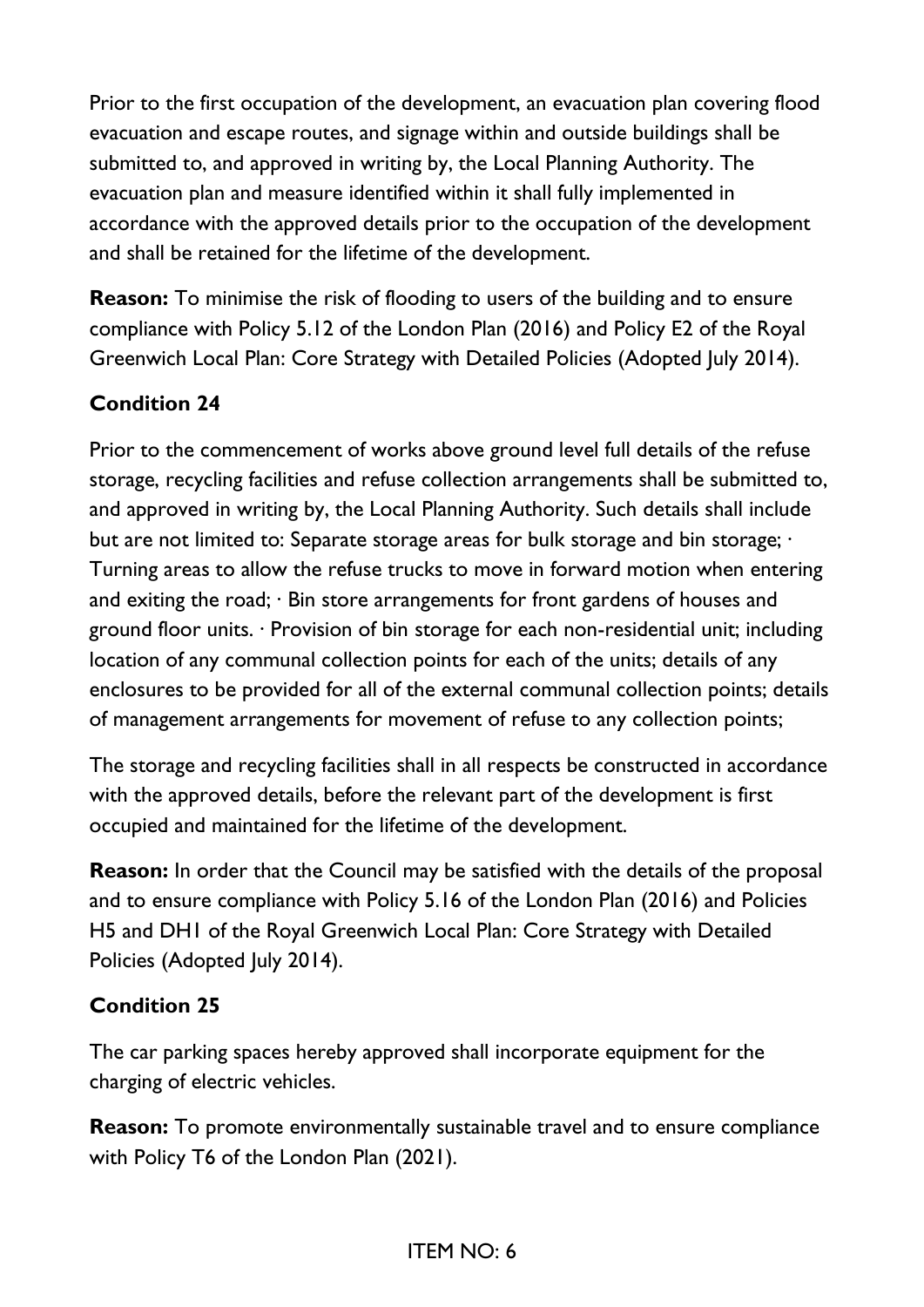Prior to the first occupation of the development, an evacuation plan covering flood evacuation and escape routes, and signage within and outside buildings shall be submitted to, and approved in writing by, the Local Planning Authority. The evacuation plan and measure identified within it shall fully implemented in accordance with the approved details prior to the occupation of the development and shall be retained for the lifetime of the development.

**Reason:** To minimise the risk of flooding to users of the building and to ensure compliance with Policy 5.12 of the London Plan (2016) and Policy E2 of the Royal Greenwich Local Plan: Core Strategy with Detailed Policies (Adopted July 2014).

## **Condition 24**

Prior to the commencement of works above ground level full details of the refuse storage, recycling facilities and refuse collection arrangements shall be submitted to, and approved in writing by, the Local Planning Authority. Such details shall include but are not limited to: Separate storage areas for bulk storage and bin storage;  $\cdot$ Turning areas to allow the refuse trucks to move in forward motion when entering and exiting the road; · Bin store arrangements for front gardens of houses and ground floor units. · Provision of bin storage for each non-residential unit; including location of any communal collection points for each of the units; details of any enclosures to be provided for all of the external communal collection points; details of management arrangements for movement of refuse to any collection points;

The storage and recycling facilities shall in all respects be constructed in accordance with the approved details, before the relevant part of the development is first occupied and maintained for the lifetime of the development.

**Reason:** In order that the Council may be satisfied with the details of the proposal and to ensure compliance with Policy 5.16 of the London Plan (2016) and Policies H5 and DH1 of the Royal Greenwich Local Plan: Core Strategy with Detailed Policies (Adopted July 2014).

## **Condition 25**

The car parking spaces hereby approved shall incorporate equipment for the charging of electric vehicles.

**Reason:** To promote environmentally sustainable travel and to ensure compliance with Policy T6 of the London Plan (2021).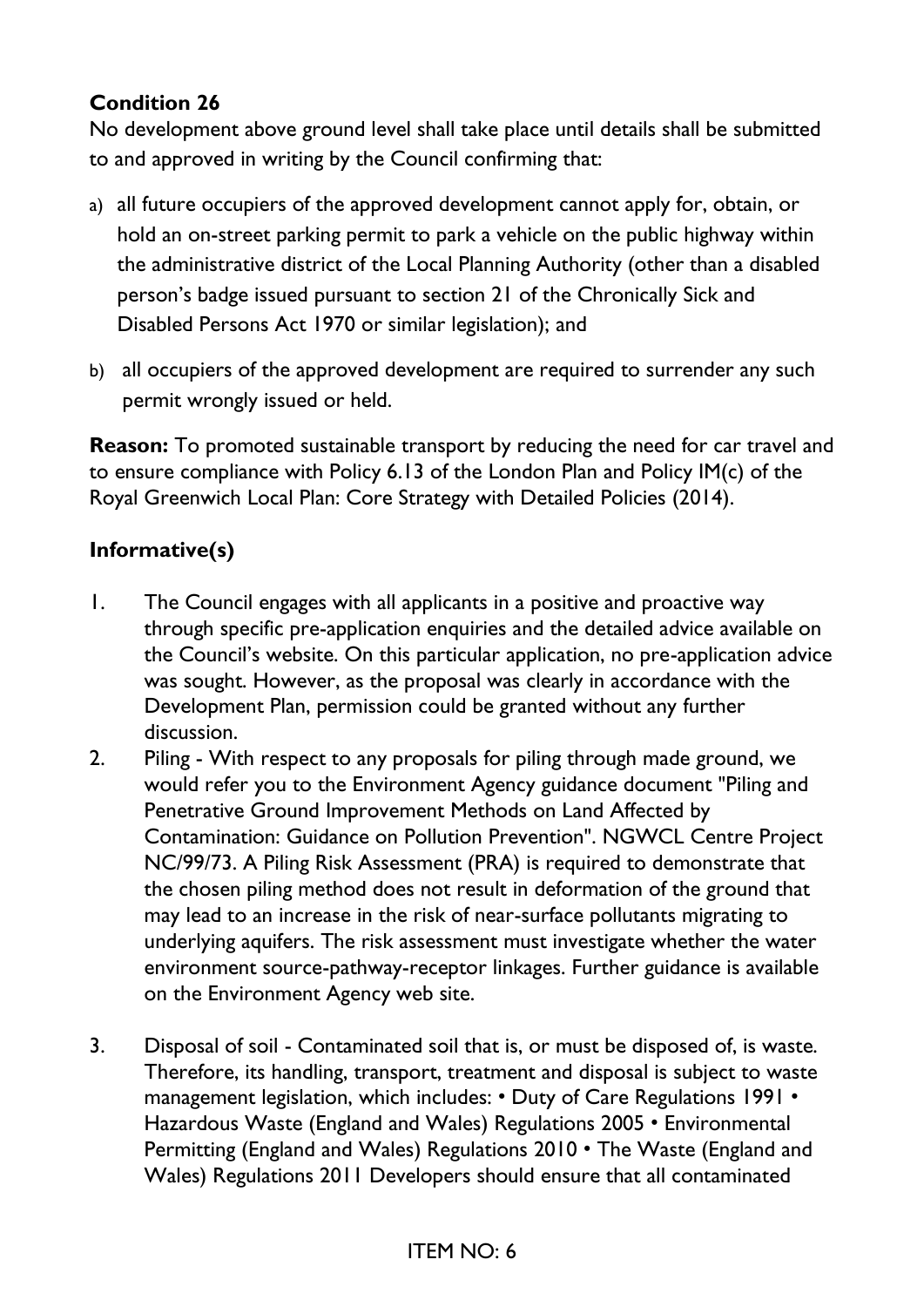## **Condition 26**

No development above ground level shall take place until details shall be submitted to and approved in writing by the Council confirming that:

- a) all future occupiers of the approved development cannot apply for, obtain, or hold an on-street parking permit to park a vehicle on the public highway within the administrative district of the Local Planning Authority (other than a disabled person's badge issued pursuant to section 21 of the Chronically Sick and Disabled Persons Act 1970 or similar legislation); and
- b) all occupiers of the approved development are required to surrender any such permit wrongly issued or held.

**Reason:** To promoted sustainable transport by reducing the need for car travel and to ensure compliance with Policy 6.13 of the London Plan and Policy IM(c) of the Royal Greenwich Local Plan: Core Strategy with Detailed Policies (2014).

## **Informative(s)**

- 1. The Council engages with all applicants in a positive and proactive way through specific pre-application enquiries and the detailed advice available on the Council's website. On this particular application, no pre-application advice was sought. However, as the proposal was clearly in accordance with the Development Plan, permission could be granted without any further discussion.
- 2. Piling With respect to any proposals for piling through made ground, we would refer you to the Environment Agency guidance document "Piling and Penetrative Ground Improvement Methods on Land Affected by Contamination: Guidance on Pollution Prevention". NGWCL Centre Project NC/99/73. A Piling Risk Assessment (PRA) is required to demonstrate that the chosen piling method does not result in deformation of the ground that may lead to an increase in the risk of near-surface pollutants migrating to underlying aquifers. The risk assessment must investigate whether the water environment source-pathway-receptor linkages. Further guidance is available on the Environment Agency web site.
- 3. Disposal of soil Contaminated soil that is, or must be disposed of, is waste. Therefore, its handling, transport, treatment and disposal is subject to waste management legislation, which includes: • Duty of Care Regulations 1991 • Hazardous Waste (England and Wales) Regulations 2005 • Environmental Permitting (England and Wales) Regulations 2010 • The Waste (England and Wales) Regulations 2011 Developers should ensure that all contaminated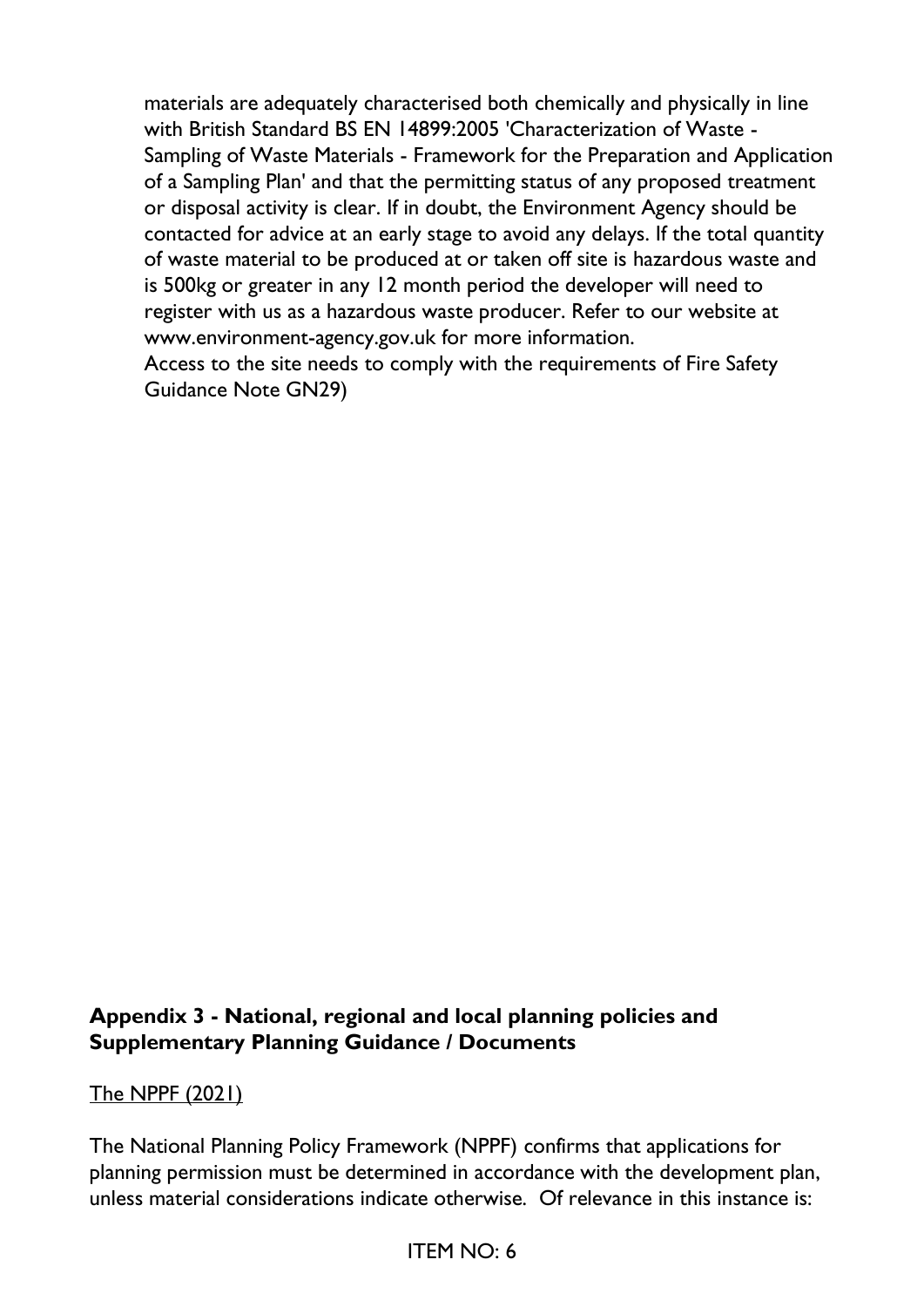materials are adequately characterised both chemically and physically in line with British Standard BS EN 14899:2005 'Characterization of Waste - Sampling of Waste Materials - Framework for the Preparation and Application of a Sampling Plan' and that the permitting status of any proposed treatment or disposal activity is clear. If in doubt, the Environment Agency should be contacted for advice at an early stage to avoid any delays. If the total quantity of waste material to be produced at or taken off site is hazardous waste and is 500kg or greater in any 12 month period the developer will need to register with us as a hazardous waste producer. Refer to our website at www.environment-agency.gov.uk for more information.

Access to the site needs to comply with the requirements of Fire Safety Guidance Note GN29)

#### **Appendix 3 - National, regional and local planning policies and Supplementary Planning Guidance / Documents**

## The NPPF (2021)

The National Planning Policy Framework (NPPF) confirms that applications for planning permission must be determined in accordance with the development plan, unless material considerations indicate otherwise. Of relevance in this instance is: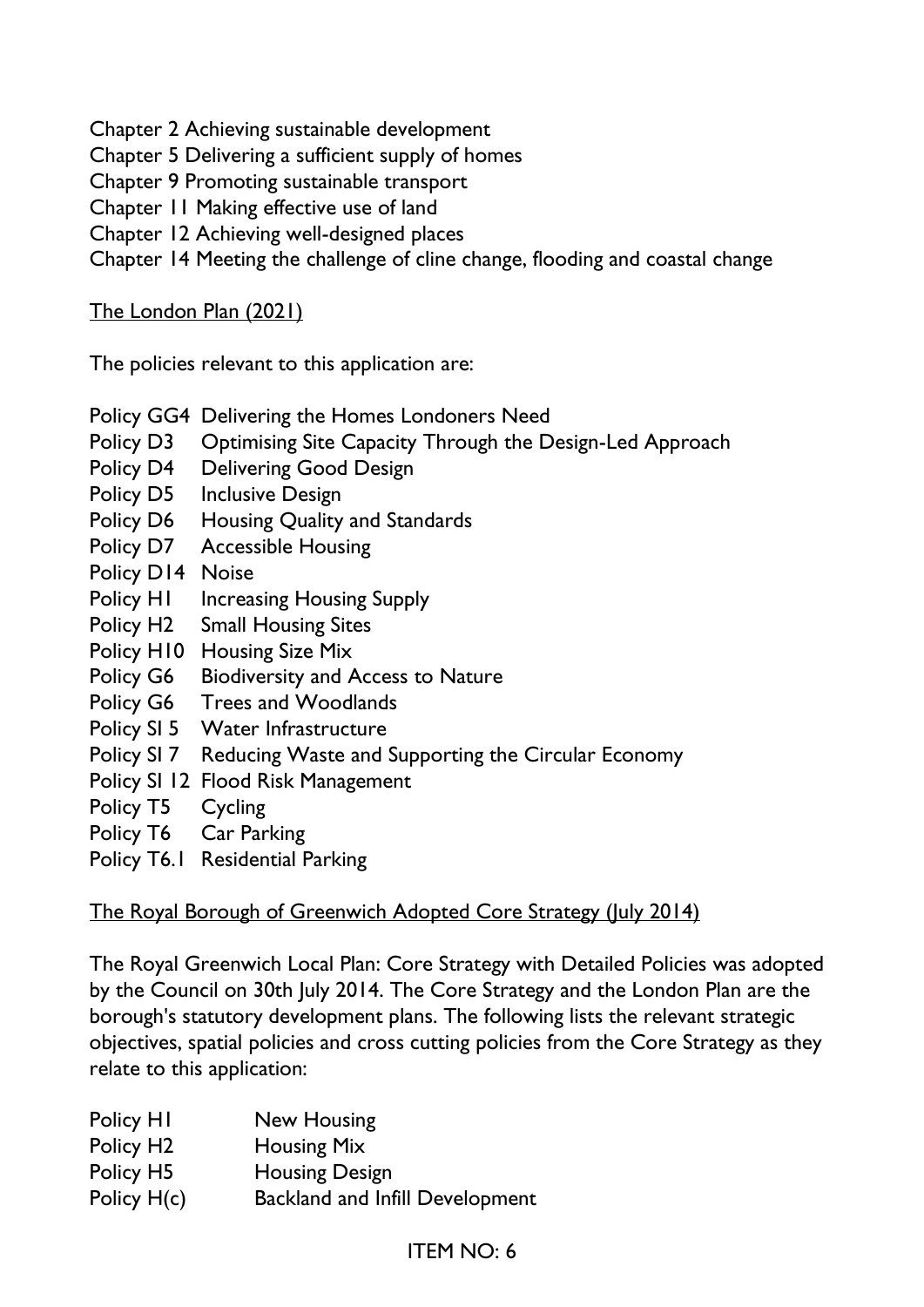Chapter 2 Achieving sustainable development

Chapter 5 Delivering a sufficient supply of homes

Chapter 9 Promoting sustainable transport

Chapter 11 Making effective use of land

Chapter 12 Achieving well-designed places

Chapter 14 Meeting the challenge of cline change, flooding and coastal change

#### The London Plan (2021)

The policies relevant to this application are:

- Policy GG4 Delivering the Homes Londoners Need
- Policy D3 Optimising Site Capacity Through the Design-Led Approach
- Policy D4 Delivering Good Design
- Policy D5 Inclusive Design
- Policy D6 Housing Quality and Standards
- Policy D7 Accessible Housing
- Policy D14 Noise
- Policy H1 Increasing Housing Supply
- Policy H2 Small Housing Sites
- Policy H10 Housing Size Mix
- Policy G6 Biodiversity and Access to Nature
- Policy G6 Trees and Woodlands
- Policy SI 5 Water Infrastructure
- Policy SI 7 Reducing Waste and Supporting the Circular Economy
- Policy SI 12 Flood Risk Management
- Policy T5 Cycling
- Policy T6 Car Parking
- Policy T6.1 Residential Parking

#### The Royal Borough of Greenwich Adopted Core Strategy (July 2014)

The Royal Greenwich Local Plan: Core Strategy with Detailed Policies was adopted by the Council on 30th July 2014. The Core Strategy and the London Plan are the borough's statutory development plans. The following lists the relevant strategic objectives, spatial policies and cross cutting policies from the Core Strategy as they relate to this application:

| New Housing                            |
|----------------------------------------|
| <b>Housing Mix</b>                     |
| <b>Housing Design</b>                  |
| <b>Backland and Infill Development</b> |
|                                        |